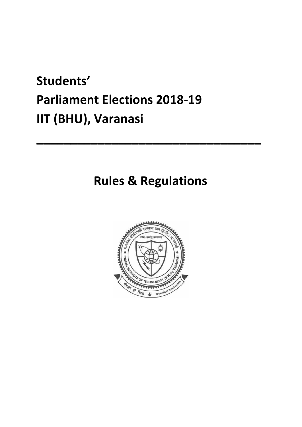# **Students' Parliament Elections 2018-19 IIT (BHU), Varanasi**

### **Rules & Regulations**

**\_\_\_\_\_\_\_\_\_\_\_\_\_\_\_\_\_\_\_\_\_\_\_\_\_\_\_\_\_\_\_\_\_** 

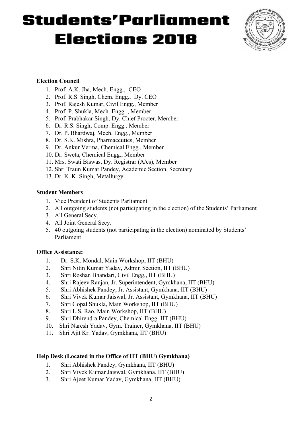

#### **Election Council**

- 1. Prof. A.K. Jha, Mech. Engg., CEO
- 2. Prof. R.S. Singh, Chem. Engg., Dy. CEO
- 3. Prof. Rajesh Kumar, Civil Engg., Member
- 4. Prof. P. Shukla, Mech. Engg. , Member
- 5. Prof. Prabhakar Singh, Dy. Chief Procter, Member
- 6. Dr. R.S. Singh, Comp. Engg., Member
- 7. Dr. P. Bhardwaj, Mech. Engg., Member
- 8. Dr. S.K. Mishra, Pharmaceutics, Member
- 9. Dr. Ankur Verma, Chemical Engg., Member
- 10. Dr. Sweta, Chemical Engg., Member
- 11. Mrs. Swati Biswas, Dy. Registrar (A/cs), Member
- 12. Shri Traun Kumar Pandey, Academic Section, Secretary
- 13. Dr. K. K. Singh, Metallurgy

#### **Student Members**

- 1. Vice President of Students Parliament
- 2. All outgoing students (not participating in the election) of the Students' Parliament
- 3. All General Secy.
- 4. All Joint General Secy.
- 5. 40 outgoing students (not participating in the election) nominated by Students' Parliament

#### **Office Assistance:**

- 1. Dr. S.K. Mondal, Main Workshop, IIT (BHU)
- 2. Shri Nitin Kumar Yadav, Admin Section, IIT (BHU)
- 3. Shri Roshan Bhandari, Civil Engg,, IIT (BHU)
- 4. Shri Rajeev Ranjan, Jr. Superintendent, Gymkhana, IIT (BHU)
- 5. Shri Abhishek Pandey, Jr. Assistant, Gymkhana, IIT (BHU)
- 6. Shri Vivek Kumar Jaiswal, Jr. Assistant, Gymkhana, IIT (BHU)
- 7. Shri Gopal Shukla, Main Workshop, IIT (BHU)
- 8. Shri L.S. Rao, Main Workshop, IIT (BHU)
- 9. Shri Dhirendra Pandey, Chemical Engg. IIT (BHU)
- 10. Shri Naresh Yadav, Gym. Trainer, Gymkhana, IIT (BHU)
- 11. Shri Ajit Kr. Yadav, Gymkhana, IIT (BHU)

#### **Help Desk (Located in the Office of IIT (BHU) Gymkhana)**

- 1. Shri Abhishek Pandey, Gymkhana, IIT (BHU)
- 2. Shri Vivek Kumar Jaiswal, Gymkhana, IIT (BHU)
- 3. Shri Ajeet Kumar Yadav, Gymkhana, IIT (BHU)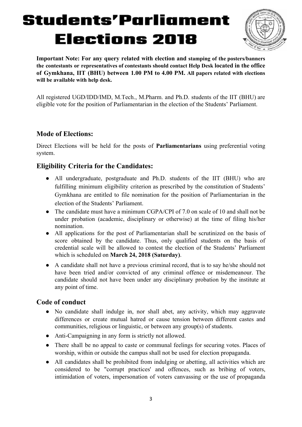

**Important Note: For any query related with election and stamping of the posters/banners the contestants or representatives of contestants should contact Help Desk located in the office of Gymkhana, IIT (BHU) between 1.00 PM to 4.00 PM. All papers related with elections will be available with help desk.** 

All registered UGD/IDD/IMD, M.Tech., M.Pharm. and Ph.D. students of the IIT (BHU) are eligible vote for the position of Parliamentarian in the election of the Students' Parliament.

### **Mode of Elections:**

Direct Elections will be held for the posts of **Parliamentarians** using preferential voting system.

### **Eligibility Criteria for the Candidates:**

- All undergraduate, postgraduate and Ph.D. students of the IIT (BHU) who are fulfilling minimum eligibility criterion as prescribed by the constitution of Students' Gymkhana are entitled to file nomination for the position of Parliamentarian in the election of the Students' Parliament.
- The candidate must have a minimum CGPA/CPI of  $7.0$  on scale of 10 and shall not be under probation (academic, disciplinary or otherwise) at the time of filing his/her nomination.
- All applications for the post of Parliamentarian shall be scrutinized on the basis of score obtained by the candidate. Thus, only qualified students on the basis of credential scale will be allowed to contest the election of the Students' Parliament which is scheduled on **March 24, 2018 (Saturday)**.
- A candidate shall not have a previous criminal record, that is to say he/she should not have been tried and/or convicted of any criminal offence or misdemeanour. The candidate should not have been under any disciplinary probation by the institute at any point of time.

### **Code of conduct**

- No candidate shall indulge in, nor shall abet, any activity, which may aggravate differences or create mutual hatred or cause tension between different castes and communities, religious or linguistic, or between any group(s) of students.
- Anti-Campaigning in any form is strictly not allowed.
- There shall be no appeal to caste or communal feelings for securing votes. Places of worship, within or outside the campus shall not be used for election propaganda.
- All candidates shall be prohibited from indulging or abetting, all activities which are considered to be "corrupt practices' and offences, such as bribing of voters, intimidation of voters, impersonation of voters canvassing or the use of propaganda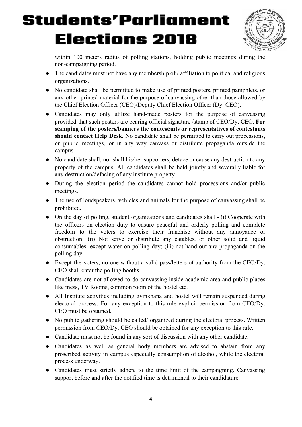

within 100 meters radius of polling stations, holding public meetings during the non-campaigning period.

- $\bullet$  The candidates must not have any membership of / affiliation to political and religious organizations.
- No candidate shall be permitted to make use of printed posters, printed pamphlets, or any other printed material for the purpose of canvassing other than those allowed by the Chief Election Officer (CEO)/Deputy Chief Election Officer (Dy. CEO).
- Candidates may only utilize hand-made posters for the purpose of canvassing provided that such posters are bearing official signature /stamp of CEO/Dy. CEO. **For stamping of the posters/banners the contestants or representatives of contestants should contact Help Desk.** No candidate shall be permitted to carry out processions, or public meetings, or in any way canvass or distribute propaganda outside the campus.
- No candidate shall, nor shall his/her supporters, deface or cause any destruction to any property of the campus. All candidates shall be held jointly and severally liable for any destruction/defacing of any institute property.
- During the election period the candidates cannot hold processions and/or public meetings.
- The use of loudspeakers, vehicles and animals for the purpose of canvassing shall be prohibited.
- $\bullet$  On the day of polling, student organizations and candidates shall  $\bullet$  (i) Cooperate with the officers on election duty to ensure peaceful and orderly polling and complete freedom to the voters to exercise their franchise without any annoyance or obstruction; (ii) Not serve or distribute any eatables, or other solid and liquid consumables, except water on polling day; (iii) not hand out any propaganda on the polling day.
- Except the voters, no one without a valid pass/letters of authority from the CEO/Dy. CEO shall enter the polling booths.
- Candidates are not allowed to do canvassing inside academic area and public places like mess, TV Rooms, common room of the hostel etc.
- All Institute activities including gymkhana and hostel will remain suspended during electoral process. For any exception to this rule explicit permission from CEO/Dy . CEO must be obtained.
- No public gathering should be called/organized during the electoral process. Written permission from CEO/Dy. CEO should be obtained for any exception to this rule.
- Candidate must not be found in any sort of discussion with any other candidate.
- Candidates as well as general body members are advised to abstain from any proscribed activity in campus especially consumption of alcohol, while the electoral process underway.
- Candidates must strictly adhere to the time limit of the campaigning. Canvassing support before and after the notified time is detrimental to their candidature.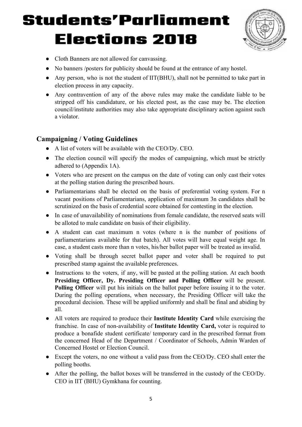

- Cloth Banners are not allowed for canvassing.
- No banners /posters for publicity should be found at the entrance of any hostel.
- Any person, who is not the student of IIT(BHU), shall not be permitted to take part in election process in any capacity.
- Any contravention of any of the above rules may make the candidate liable to be stripped off his candidature, or his elected post, as the case may be. The election council/institute authorities may also take appropriate disciplinary action against such a violator.

### **Campaigning / Voting Guidelines**

- A list of voters will be available with the CEO/Dy. CEO.
- $\bullet$  The election council will specify the modes of campaigning, which must be strictly adhered to (Appendix 1A).
- Voters who are present on the campus on the date of voting can only cast their votes at the polling station during the prescribed hours.
- Parliamentarians shall be elected on the basis of preferential voting system. For n vacant positions of Parliamentarians, application of maximum 3n candidates shall be scrutinized on the basis of credential score obtained for contesting in the election.
- In case of unavailability of nominations from female candidate, the reserved seats will be alloted to male candidate on basis of their eligibility.
- A student can cast maximum n votes (where n is the number of positions of parliamentarians available for that batch). All votes will have equal weight age. In case, a student casts more than n votes, his/her ballot paper will be treated as invalid.
- Voting shall be through secret ballot paper and voter shall be required to put prescribed stamp against the available preferences.
- Instructions to the voters, if any, will be pasted at the polling station. At each booth **Presiding Officer, Dy. Presiding Officer and Polling Officer** will be present. **Polling Officer** will put his initials on the ballot paper before issuing it to the voter. During the polling operations, when necessary, the Presiding Officer will take the procedural decision. These will be applied uniformly and shall be final and abiding by all.
- All voters are required to produce their **Institute Identity Card** while exercising the franchise. In case of non-availability of **Institute Identity Card,** voter is required to produce a bonafide student certificate/ temporary card in the prescribed format from the concerned Head of the Department / Coordinator of Schools, Admin Warden of Concerned Hostel or Election Council.
- Except the voters, no one without a valid pass from the CEO/Dy. CEO shall enter the polling booths.
- $\bullet$  After the polling, the ballot boxes will be transferred in the custody of the CEO/Dy. CEO in IIT (BHU) Gymkhana for counting.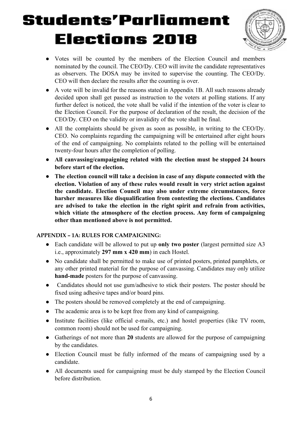

- Votes will be counted by the members of the Election Council and members nominated by the council. The CEO/Dy. CEO will invite the candidate representatives as observers. The DOSA may be invited to supervise the counting. The CEO/Dy. CEO will then declare the results after the counting is over.
- A vote will be invalid for the reasons stated in Appendix 1B. All such reasons already decided upon shall get passed as instruction to the voters at polling stations. If any further defect is noticed, the vote shall be valid if the intention of the voter is clear to the Election Council. For the purpose of declaration of the result, the decision of the CEO/Dy. CEO on the validity or invalidity of the vote shall be final.
- $\bullet$  All the complaints should be given as soon as possible, in writing to the CEO/Dy. CEO. No complaints regarding the campaigning will be entertained after eight hours of the end of campaigning. No complaints related to the polling will be entertained twenty-four hours after the completion of polling.
- All canvassing/campaigning related with the election must be stopped 24 hours **before start of the election.**
- **● The election council will take a decision in case of any dispute connected with the**  election. Violation of any of these rules would result in very strict action against **the candidate. Election Council may also under extreme circumstances, force harsher measures like disqualification from contesting the elections. Candidates are advised to take the election in the right spirit and refrain from activities, which vitiate the atmosphere of the election process. Any form of campaigning other than mentioned above is not permitted.**

#### **APPENDIX – 1A: RULES FOR CAMPAIGNING:**

- Each candidate will be allowed to put up **only two poster** (largest permitted size A3 i.e., approximately **297 mm x 420 mm**) in each Hostel.
- No candidate shall be permitted to make use of printed posters, printed pamphlets, or any other printed material for the purpose of canvassing. Candidates may only utilize **hand-made** posters for the purpose of canvassing.
- Candidates should not use gum/adhesive to stick their posters. The poster should be fixed using adhesive tapes and/or board pins.
- The posters should be removed completely at the end of campaigning.
- The academic area is to be kept free from any kind of campaigning.
- Institute facilities (like official e-mails, etc.) and hostel properties (like TV room, common room) should not be used for campaigning.
- Gatherings of not more than **20** students are allowed for the purpose of campaigning by the candidates.
- Election Council must be fully informed of the means of campaigning used by a candidate.
- All documents used for campaigning must be duly stamped by the Election Council before distribution.